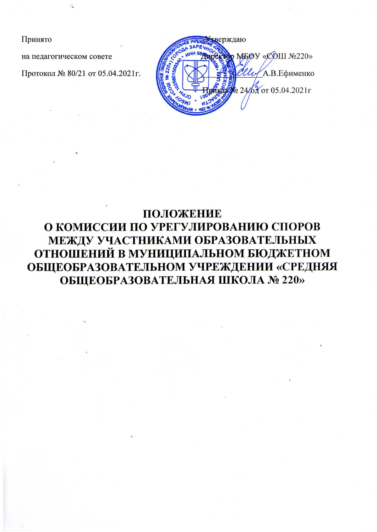Принято

на педагогическом совете

Протокол № 80/21 от 05.04.2021г.



# ПОЛОЖЕНИЕ О КОМИССИИ ПО УРЕГУЛИРОВАНИЮ СПОРОВ МЕЖДУ УЧАСТНИКАМИ ОБРАЗОВАТЕЛЬНЫХ ОТНОШЕНИЙ В МУНИЦИПАЛЬНОМ БЮДЖЕТНОМ ОБЩЕОБРАЗОВАТЕЛЬНОМ УЧРЕЖДЕНИИ «СРЕДНЯЯ ОБЩЕОБРАЗОВАТЕЛЬНАЯ ШКОЛА № 220»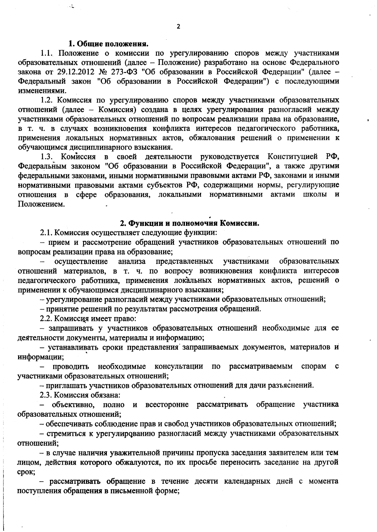#### 1. Общие положения.

 $\mathbb{R}^2$ 

1.1. Положение о комиссии по урегулированию споров между участниками образовательных отношений (далее - Положение) разработано на основе Федерального закона от 29.12.2012 № 273-ФЗ "Об образовании в Российской Федерации" (далее -Федеральный закон "Об образовании в Российской Федерации") с последующими изменениями.

1.2. Комиссия по урегулированию споров между участниками образовательных отношений (далее - Комиссия) создана в целях урегулирования разногласий между участниками образовательных отношений по вопросам реализации права на образование, в т. ч. в случаях возникновения конфликта интересов педагогического работника, применения локальных нормативных актов, обжалования решений о применении к обучающимся дисциплинарного взыскания.

1.3. Комиссия в своей деятельности руководствуется Конституцией РФ, Федеральным законом "Об образовании в Российской Федерации", а также другими федеральными законами, иными нормативными правовыми актами РФ, законами и иными нормативными правовыми актами субъектов РФ, содержащими нормы, регулирующие отношения в сфере образования, локальными нормативными актами школы и Положением.

## 2. Функции и полномочия Комиссии.

2.1. Комиссия осуществляет следующие функции:

- прием и рассмотрение обращений участников образовательных отношений по вопросам реализации права на образование;

осуществление анализа представленных участниками образовательных отношений материалов, в т. ч. по вопросу возникновения конфликта интересов педагогического работника, применения локальных нормативных актов, решений о применении к обучающимся дисциплинарного взыскания;

- урегулирование разногласий между участниками образовательных отношений;

- принятие решений по результатам рассмотрения обращений.

2.2. Комиссия имеет право:

- запрашивать у участников образовательных отношений необходимые для ее деятельности документы, материалы и информацию;

- устанавливать сроки представления запрашиваемых документов, материалов и информации;

проводить необходимые консультации по рассматриваемым  $\equiv$ спорам с участниками образовательных отношений;

- приглашать участников образовательных отношений для дачи разъяснений.

2.3. Комиссия обязана:

- объективно, полно и всесторонне рассматривать обращение участника образовательных отношений;

- обеспечивать соблюдение прав и свобод участников образовательных отношений;

- стремиться к урегулированию разногласий между участниками образовательных отношений;

- в случае наличия уважительной причины пропуска заседания заявителем или тем лицом, действия которого обжалуются, по их просьбе переносить заседание на другой срок;

- рассматривать обращение в течение десяти календарных дней с момента поступления обращения в письменной форме;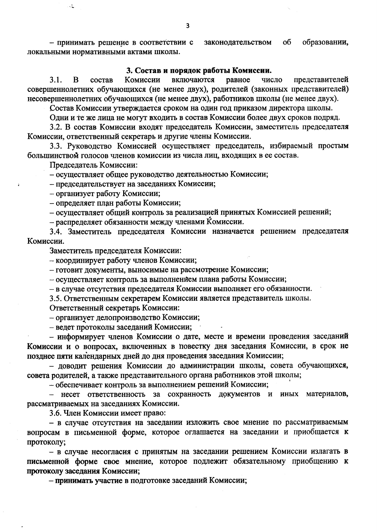образовании, - принимать решение в соответствии с законодательством об локальными нормативными актами школы.

### 3. Состав и порядок работы Комиссии.

включаются число  $3.1<sub>1</sub>$ равное B состав Комиссии представителей совершеннолетних обучающихся (не менее двух), родителей (законных представителей) несовершеннолетних обучающихся (не менее двух), работников школы (не менее двух).

Состав Комиссии утверждается сроком на один год приказом директора школы.

Одни и те же лица не могут входить в состав Комиссии более двух сроков подряд.

3.2. В состав Комиссии входят председатель Комиссии, заместитель председателя Комиссии, ответственный секретарь и другие члены Комиссии.

3.3. Руководство Комиссией осуществляет председатель, избираемый простым большинством голосов членов комиссии из числа лиц, входящих в ее состав.

Председатель Комиссии:

 $\mathcal{L}$ 

- осуществляет общее руководство деятельностью Комиссии;

- председательствует на заседаниях Комиссии;

- организует работу Комиссии;

- определяет план работы Комиссии;

- осуществляет общий контроль за реализацией принятых Комиссией решений;

- распределяет обязанности между членами Комиссии.

3.4. Заместитель председателя Комиссии назначается решением председателя Комиссии.

Заместитель председателя Комиссии:

- координирует работу членов Комиссии;

- готовит документы, выносимые на рассмотрение Комиссии;

- осуществляет контроль за выполнением плана работы Комиссии;

- в случае отсутствия председателя Комиссии выполняет его обязанности.

3.5. Ответственным секретарем Комиссии является представитель школы.

Ответственный секретарь Комиссии:

- организует делопроизводство Комиссии;

- ведет протоколы заседаний Комиссии;

- информирует членов Комиссии о дате, месте и времени проведения заседаний Комиссии и о вопросах, включенных в повестку дня заседания Комиссии, в срок не позднее пяти календарных дней до дня проведения заседания Комиссии;

– доводит решения Комиссии до администрации школы, совета обучающихся, совета родителей, а также представительного органа работников этой школы;

- обеспечивает контроль за выполнением решений Комиссии;

- несет ответственность за сохранность документов и иных материалов, рассматриваемых на заседаниях Комиссии.

3.6. Член Комиссии имеет право:

- в случае отсутствия на заседании изложить свое мнение по рассматриваемым вопросам в письменной форме, которое оглашается на заседании и приобщается к протоколу;

- в случае несогласия с принятым на заседании решением Комиссии излагать в письменной форме свое мнение, которое подлежит обязательному приобщению к протоколу заседания Комиссии;

- принимать участие в подготовке заседаний Комиссии;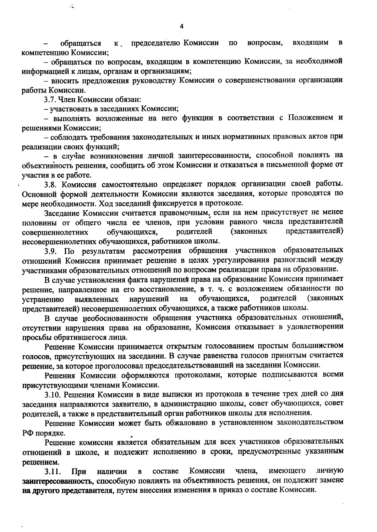обращаться председателю Комиссии  $\overline{a}$ вопросам, входящим  $\mathbf{B}$  $\kappa$ компетенцию Комиссии;

- обращаться по вопросам, входящим в компетенцию Комиссии, за необходимой информацией к лицам, органам и организациям;

- вносить предложения руководству Комиссии о совершенствовании организации работы Комиссии.

3.7. Член Комиссии обязан:

 $\ddot{\cdot}$ 

- участвовать в заседаниях Комиссии;

- выполнять возложенные на него функции в соответствии с Положением и решениями Комиссии;

- соблюдать требования законодательных и иных нормативных правовых актов при реализации своих функций;

- в случае возникновения личной заинтересованности, способной повлиять на объективность решения, сообщить об этом Комиссии и отказаться в письменной форме от участия в ее работе.

3.8. Комиссия самостоятельно определяет порядок организации своей работы. Основной формой деятельности Комиссии являются заседания, которые проводятся по мере необходимости. Ход заседаний фиксируется в протоколе.

Заседание Комиссии считается правомочным, если на нем присутствует не менее половины от общего числа ее членов, при условии равного числа представителей представителей) (законных родителей обучающихся, совершеннолетних несовершеннолетних обучающихся, работников школы.

3.9. По результатам рассмотрения обращения участников образовательных отношений Комиссия принимает решение в целях урегулирования разногласий между участниками образовательных отношений по вопросам реализации права на образование.

В случае установления факта нарушения права на образование Комиссия принимает решение, направленное на его восстановление, в т. ч. с возложением обязанности по обучающихся, родителей (законных на нарушений устранению выявленных представителей) несовершеннолетних обучающихся, а также работников школы.

В случае необоснованности обращения участника образовательных отношений, отсутствии нарушения права на образование, Комиссия отказывает в удовлетворении просьбы обратившегося лица.

Решение Комиссии принимается открытым голосованием простым большинством голосов, присутствующих на заседании. В случае равенства голосов принятым считается решение, за которое проголосовал председательствовавший на заседании Комиссии.

Решения Комиссии оформляются протоколами, которые подписываются всеми присутствующими членами Комиссии.

3.10. Решения Комиссии в виде выписки из протокола в течение трех дней со дня заседания направляются заявителю, в администрацию школы, совет обучающихся, совет родителей, а также в представительный орган работников школы для исполнения.

Решение Комиссии может быть обжаловано в установленном законодательством РФ порядке.

Решение комиссии является обязательным для всех участников образовательных отношений в школе, и подлежит исполнению в сроки, предусмотренные указанным решением.

личную Комиссии члена, имеющего составе  $3.11.$ При наличии  $\overline{\mathbf{B}}$ заинтересованность, способную повлиять на объективность решения, он подлежит замене на другого представителя, путем внесения изменения в приказ о составе Комиссии.